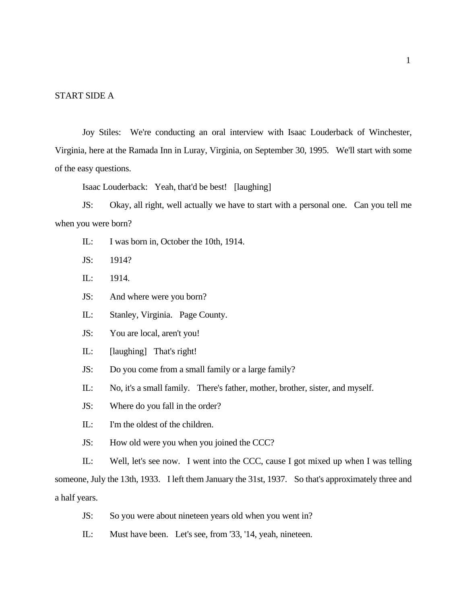### START SIDE A

Joy Stiles: We're conducting an oral interview with Isaac Louderback of Winchester, Virginia, here at the Ramada Inn in Luray, Virginia, on September 30, 1995. We'll start with some of the easy questions.

Isaac Louderback: Yeah, that'd be best! [laughing]

JS: Okay, all right, well actually we have to start with a personal one. Can you tell me when you were born?

- IL: I was born in, October the 10th, 1914.
- JS: 1914?
- IL: 1914.
- JS: And where were you born?
- IL: Stanley, Virginia. Page County.
- JS: You are local, aren't you!
- IL: [laughing] That's right!
- JS: Do you come from a small family or a large family?
- IL: No, it's a small family. There's father, mother, brother, sister, and myself.
- JS: Where do you fall in the order?
- IL: I'm the oldest of the children.
- JS: How old were you when you joined the CCC?

IL: Well, let's see now. I went into the CCC, cause I got mixed up when I was telling someone, July the 13th, 1933. I left them January the 31st, 1937. So that's approximately three and a half years.

- JS: So you were about nineteen years old when you went in?
- IL: Must have been. Let's see, from '33, '14, yeah, nineteen.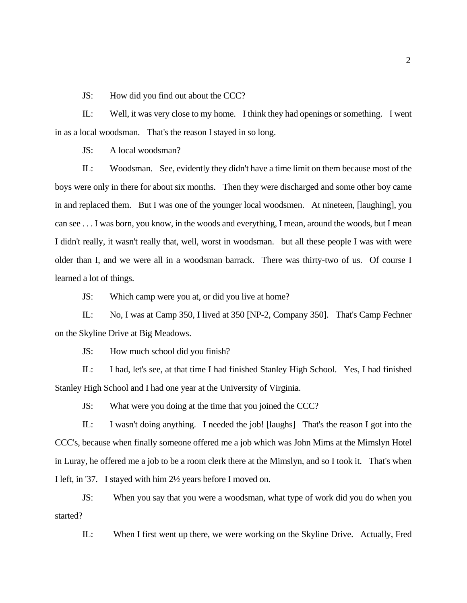JS: How did you find out about the CCC?

IL: Well, it was very close to my home. I think they had openings or something. I went in as a local woodsman. That's the reason I stayed in so long.

JS: A local woodsman?

IL: Woodsman. See, evidently they didn't have a time limit on them because most of the boys were only in there for about six months. Then they were discharged and some other boy came in and replaced them. But I was one of the younger local woodsmen. At nineteen, [laughing], you can see . . . I was born, you know, in the woods and everything, I mean, around the woods, but I mean I didn't really, it wasn't really that, well, worst in woodsman. but all these people I was with were older than I, and we were all in a woodsman barrack. There was thirty-two of us. Of course I learned a lot of things.

JS: Which camp were you at, or did you live at home?

IL: No, I was at Camp 350, I lived at 350 [NP-2, Company 350]. That's Camp Fechner on the Skyline Drive at Big Meadows.

JS: How much school did you finish?

IL: I had, let's see, at that time I had finished Stanley High School. Yes, I had finished Stanley High School and I had one year at the University of Virginia.

JS: What were you doing at the time that you joined the CCC?

IL: I wasn't doing anything. I needed the job! [laughs] That's the reason I got into the CCC's, because when finally someone offered me a job which was John Mims at the Mimslyn Hotel in Luray, he offered me a job to be a room clerk there at the Mimslyn, and so I took it. That's when I left, in '37. I stayed with him 2½ years before I moved on.

JS: When you say that you were a woodsman, what type of work did you do when you started?

IL: When I first went up there, we were working on the Skyline Drive. Actually, Fred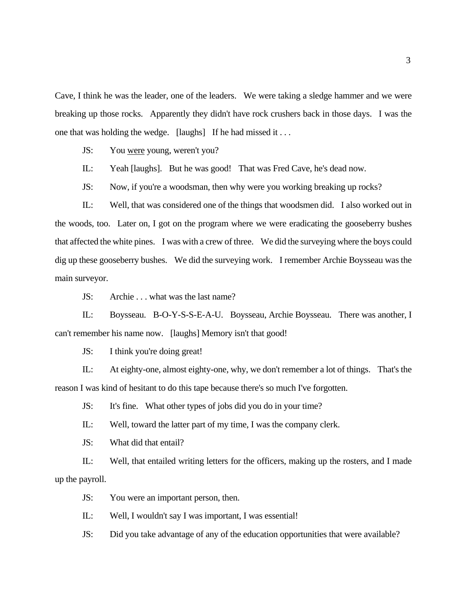Cave, I think he was the leader, one of the leaders. We were taking a sledge hammer and we were breaking up those rocks. Apparently they didn't have rock crushers back in those days. I was the one that was holding the wedge. [laughs] If he had missed it . . .

JS: You were young, weren't you?

IL: Yeah [laughs]. But he was good! That was Fred Cave, he's dead now.

JS: Now, if you're a woodsman, then why were you working breaking up rocks?

IL: Well, that was considered one of the things that woodsmen did. I also worked out in the woods, too. Later on, I got on the program where we were eradicating the gooseberry bushes that affected the white pines. I was with a crew of three. We did the surveying where the boys could dig up these gooseberry bushes. We did the surveying work. I remember Archie Boysseau was the main surveyor.

JS: Archie . . . what was the last name?

IL: Boysseau. B-O-Y-S-S-E-A-U. Boysseau, Archie Boysseau. There was another, I can't remember his name now. [laughs] Memory isn't that good!

JS: I think you're doing great!

IL: At eighty-one, almost eighty-one, why, we don't remember a lot of things. That's the reason I was kind of hesitant to do this tape because there's so much I've forgotten.

JS: It's fine. What other types of jobs did you do in your time?

IL: Well, toward the latter part of my time, I was the company clerk.

JS: What did that entail?

IL: Well, that entailed writing letters for the officers, making up the rosters, and I made up the payroll.

JS: You were an important person, then.

IL: Well, I wouldn't say I was important, I was essential!

JS: Did you take advantage of any of the education opportunities that were available?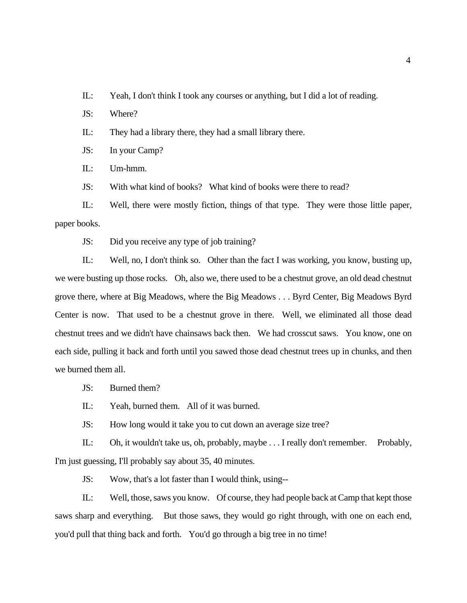IL: Yeah, I don't think I took any courses or anything, but I did a lot of reading.

JS: Where?

IL: They had a library there, they had a small library there.

JS: In your Camp?

IL: Um-hmm.

JS: With what kind of books? What kind of books were there to read?

IL: Well, there were mostly fiction, things of that type. They were those little paper, paper books.

JS: Did you receive any type of job training?

IL: Well, no, I don't think so. Other than the fact I was working, you know, busting up, we were busting up those rocks. Oh, also we, there used to be a chestnut grove, an old dead chestnut grove there, where at Big Meadows, where the Big Meadows . . . Byrd Center, Big Meadows Byrd Center is now. That used to be a chestnut grove in there. Well, we eliminated all those dead chestnut trees and we didn't have chainsaws back then. We had crosscut saws. You know, one on each side, pulling it back and forth until you sawed those dead chestnut trees up in chunks, and then we burned them all.

JS: Burned them?

IL: Yeah, burned them. All of it was burned.

JS: How long would it take you to cut down an average size tree?

IL: Oh, it wouldn't take us, oh, probably, maybe . . . I really don't remember. Probably, I'm just guessing, I'll probably say about 35, 40 minutes.

JS: Wow, that's a lot faster than I would think, using--

IL: Well, those, saws you know. Of course, they had people back at Camp that kept those saws sharp and everything. But those saws, they would go right through, with one on each end, you'd pull that thing back and forth. You'd go through a big tree in no time!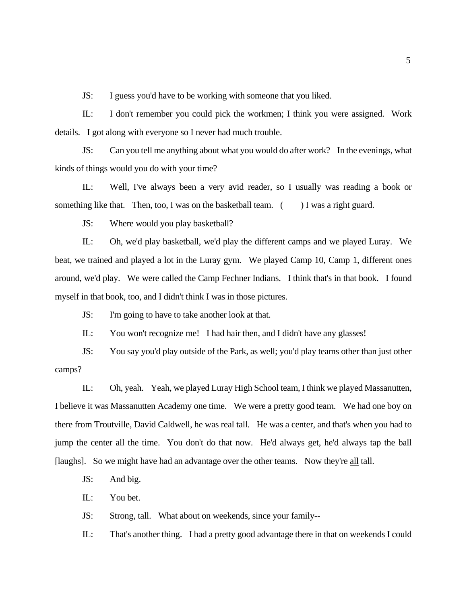JS: I guess you'd have to be working with someone that you liked.

IL: I don't remember you could pick the workmen; I think you were assigned. Work details. I got along with everyone so I never had much trouble.

JS: Can you tell me anything about what you would do after work? In the evenings, what kinds of things would you do with your time?

IL: Well, I've always been a very avid reader, so I usually was reading a book or something like that. Then, too, I was on the basketball team.  $($ ) I was a right guard.

JS: Where would you play basketball?

IL: Oh, we'd play basketball, we'd play the different camps and we played Luray. We beat, we trained and played a lot in the Luray gym. We played Camp 10, Camp 1, different ones around, we'd play. We were called the Camp Fechner Indians. I think that's in that book. I found myself in that book, too, and I didn't think I was in those pictures.

JS: I'm going to have to take another look at that.

IL: You won't recognize me! I had hair then, and I didn't have any glasses!

JS: You say you'd play outside of the Park, as well; you'd play teams other than just other camps?

IL: Oh, yeah. Yeah, we played Luray High School team, I think we played Massanutten, I believe it was Massanutten Academy one time. We were a pretty good team. We had one boy on there from Troutville, David Caldwell, he was real tall. He was a center, and that's when you had to jump the center all the time. You don't do that now. He'd always get, he'd always tap the ball [laughs]. So we might have had an advantage over the other teams. Now they're all tall.

JS: And big.

IL: You bet.

JS: Strong, tall. What about on weekends, since your family--

IL: That's another thing. I had a pretty good advantage there in that on weekends I could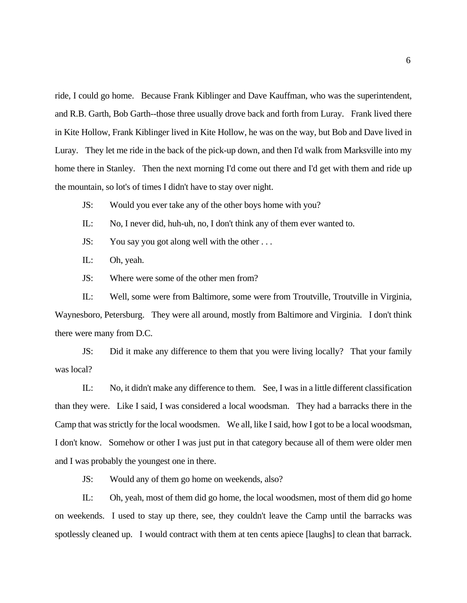ride, I could go home. Because Frank Kiblinger and Dave Kauffman, who was the superintendent, and R.B. Garth, Bob Garth--those three usually drove back and forth from Luray. Frank lived there in Kite Hollow, Frank Kiblinger lived in Kite Hollow, he was on the way, but Bob and Dave lived in Luray. They let me ride in the back of the pick-up down, and then I'd walk from Marksville into my home there in Stanley. Then the next morning I'd come out there and I'd get with them and ride up the mountain, so lot's of times I didn't have to stay over night.

JS: Would you ever take any of the other boys home with you?

IL: No, I never did, huh-uh, no, I don't think any of them ever wanted to.

JS: You say you got along well with the other . . .

IL: Oh, yeah.

JS: Where were some of the other men from?

IL: Well, some were from Baltimore, some were from Troutville, Troutville in Virginia, Waynesboro, Petersburg. They were all around, mostly from Baltimore and Virginia. I don't think there were many from D.C.

JS: Did it make any difference to them that you were living locally? That your family was local?

IL: No, it didn't make any difference to them. See, I was in a little different classification than they were. Like I said, I was considered a local woodsman. They had a barracks there in the Camp that was strictly for the local woodsmen. We all, like I said, how I got to be a local woodsman, I don't know. Somehow or other I was just put in that category because all of them were older men and I was probably the youngest one in there.

JS: Would any of them go home on weekends, also?

IL: Oh, yeah, most of them did go home, the local woodsmen, most of them did go home on weekends. I used to stay up there, see, they couldn't leave the Camp until the barracks was spotlessly cleaned up. I would contract with them at ten cents apiece [laughs] to clean that barrack.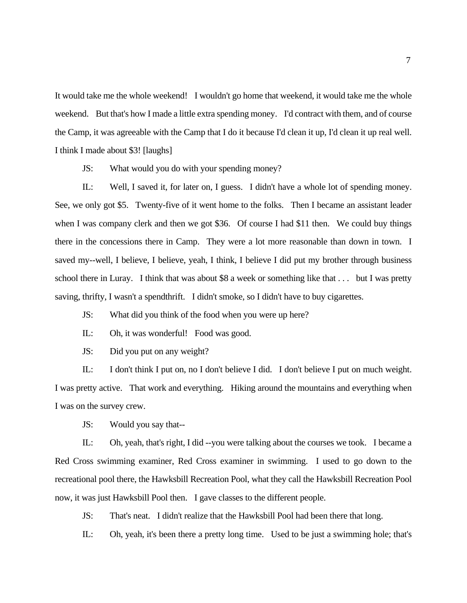It would take me the whole weekend! I wouldn't go home that weekend, it would take me the whole weekend. But that's how I made a little extra spending money. I'd contract with them, and of course the Camp, it was agreeable with the Camp that I do it because I'd clean it up, I'd clean it up real well. I think I made about \$3! [laughs]

JS: What would you do with your spending money?

IL: Well, I saved it, for later on, I guess. I didn't have a whole lot of spending money. See, we only got \$5. Twenty-five of it went home to the folks. Then I became an assistant leader when I was company clerk and then we got \$36. Of course I had \$11 then. We could buy things there in the concessions there in Camp. They were a lot more reasonable than down in town. I saved my--well, I believe, I believe, yeah, I think, I believe I did put my brother through business school there in Luray. I think that was about \$8 a week or something like that . . . but I was pretty saving, thrifty, I wasn't a spendthrift. I didn't smoke, so I didn't have to buy cigarettes.

JS: What did you think of the food when you were up here?

IL: Oh, it was wonderful! Food was good.

JS: Did you put on any weight?

IL: I don't think I put on, no I don't believe I did. I don't believe I put on much weight. I was pretty active. That work and everything. Hiking around the mountains and everything when I was on the survey crew.

JS: Would you say that--

IL: Oh, yeah, that's right, I did --you were talking about the courses we took. I became a Red Cross swimming examiner, Red Cross examiner in swimming. I used to go down to the recreational pool there, the Hawksbill Recreation Pool, what they call the Hawksbill Recreation Pool now, it was just Hawksbill Pool then. I gave classes to the different people.

JS: That's neat. I didn't realize that the Hawksbill Pool had been there that long.

IL: Oh, yeah, it's been there a pretty long time. Used to be just a swimming hole; that's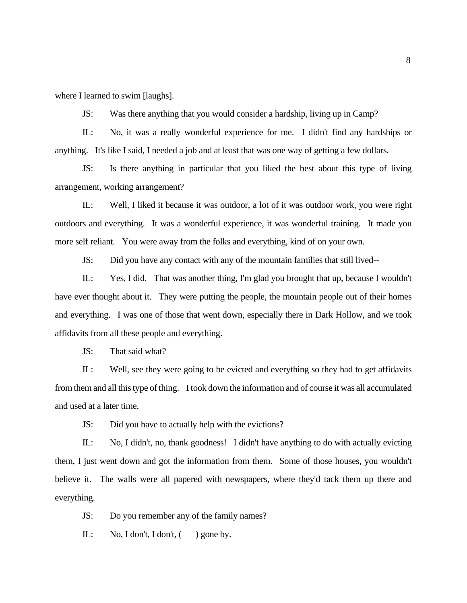where I learned to swim [laughs].

JS: Was there anything that you would consider a hardship, living up in Camp?

IL: No, it was a really wonderful experience for me. I didn't find any hardships or anything. It's like I said, I needed a job and at least that was one way of getting a few dollars.

JS: Is there anything in particular that you liked the best about this type of living arrangement, working arrangement?

IL: Well, I liked it because it was outdoor, a lot of it was outdoor work, you were right outdoors and everything. It was a wonderful experience, it was wonderful training. It made you more self reliant. You were away from the folks and everything, kind of on your own.

JS: Did you have any contact with any of the mountain families that still lived--

IL: Yes, I did. That was another thing, I'm glad you brought that up, because I wouldn't have ever thought about it. They were putting the people, the mountain people out of their homes and everything. I was one of those that went down, especially there in Dark Hollow, and we took affidavits from all these people and everything.

JS: That said what?

IL: Well, see they were going to be evicted and everything so they had to get affidavits from them and all this type of thing. I took down the information and of course it was all accumulated and used at a later time.

JS: Did you have to actually help with the evictions?

IL: No, I didn't, no, thank goodness! I didn't have anything to do with actually evicting them, I just went down and got the information from them. Some of those houses, you wouldn't believe it. The walls were all papered with newspapers, where they'd tack them up there and everything.

JS: Do you remember any of the family names?

IL: No, I don't, I don't,  $($  ) gone by.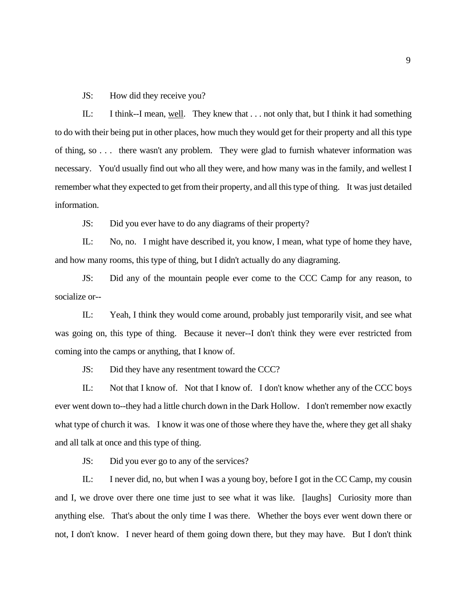JS: How did they receive you?

IL: I think--I mean, well. They knew that . . . not only that, but I think it had something to do with their being put in other places, how much they would get for their property and all this type of thing, so . . . there wasn't any problem. They were glad to furnish whatever information was necessary. You'd usually find out who all they were, and how many was in the family, and wellest I remember what they expected to get from their property, and all this type of thing. It was just detailed information.

JS: Did you ever have to do any diagrams of their property?

IL: No, no. I might have described it, you know, I mean, what type of home they have, and how many rooms, this type of thing, but I didn't actually do any diagraming.

JS: Did any of the mountain people ever come to the CCC Camp for any reason, to socialize or--

IL: Yeah, I think they would come around, probably just temporarily visit, and see what was going on, this type of thing. Because it never--I don't think they were ever restricted from coming into the camps or anything, that I know of.

JS: Did they have any resentment toward the CCC?

IL: Not that I know of. Not that I know of. I don't know whether any of the CCC boys ever went down to--they had a little church down in the Dark Hollow. I don't remember now exactly what type of church it was. I know it was one of those where they have the, where they get all shaky and all talk at once and this type of thing.

JS: Did you ever go to any of the services?

IL: I never did, no, but when I was a young boy, before I got in the CC Camp, my cousin and I, we drove over there one time just to see what it was like. [laughs] Curiosity more than anything else. That's about the only time I was there. Whether the boys ever went down there or not, I don't know. I never heard of them going down there, but they may have. But I don't think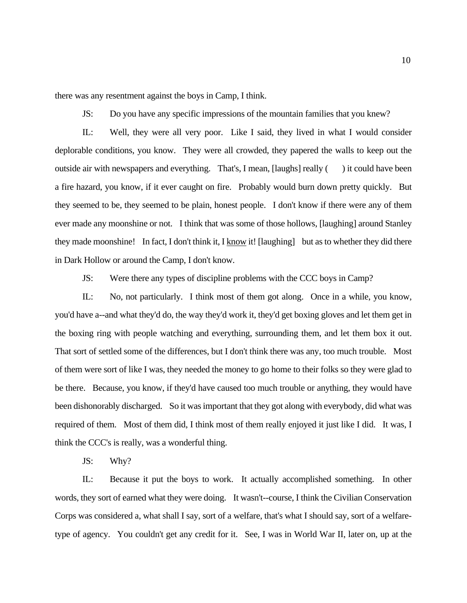there was any resentment against the boys in Camp, I think.

JS: Do you have any specific impressions of the mountain families that you knew?

IL: Well, they were all very poor. Like I said, they lived in what I would consider deplorable conditions, you know. They were all crowded, they papered the walls to keep out the outside air with newspapers and everything. That's, I mean, [laughs] really () it could have been a fire hazard, you know, if it ever caught on fire. Probably would burn down pretty quickly. But they seemed to be, they seemed to be plain, honest people. I don't know if there were any of them ever made any moonshine or not. I think that was some of those hollows, [laughing] around Stanley they made moonshine! In fact, I don't think it, I know it! [laughing] but as to whether they did there in Dark Hollow or around the Camp, I don't know.

JS: Were there any types of discipline problems with the CCC boys in Camp?

IL: No, not particularly. I think most of them got along. Once in a while, you know, you'd have a--and what they'd do, the way they'd work it, they'd get boxing gloves and let them get in the boxing ring with people watching and everything, surrounding them, and let them box it out. That sort of settled some of the differences, but I don't think there was any, too much trouble. Most of them were sort of like I was, they needed the money to go home to their folks so they were glad to be there. Because, you know, if they'd have caused too much trouble or anything, they would have been dishonorably discharged. So it was important that they got along with everybody, did what was required of them. Most of them did, I think most of them really enjoyed it just like I did. It was, I think the CCC's is really, was a wonderful thing.

JS: Why?

IL: Because it put the boys to work. It actually accomplished something. In other words, they sort of earned what they were doing. It wasn't--course, I think the Civilian Conservation Corps was considered a, what shall I say, sort of a welfare, that's what I should say, sort of a welfaretype of agency. You couldn't get any credit for it. See, I was in World War II, later on, up at the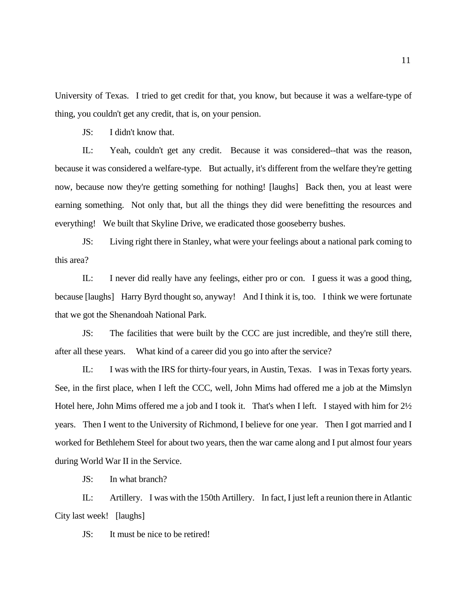University of Texas. I tried to get credit for that, you know, but because it was a welfare-type of thing, you couldn't get any credit, that is, on your pension.

JS: I didn't know that.

IL: Yeah, couldn't get any credit. Because it was considered--that was the reason, because it was considered a welfare-type. But actually, it's different from the welfare they're getting now, because now they're getting something for nothing! [laughs] Back then, you at least were earning something. Not only that, but all the things they did were benefitting the resources and everything! We built that Skyline Drive, we eradicated those gooseberry bushes.

JS: Living right there in Stanley, what were your feelings about a national park coming to this area?

IL: I never did really have any feelings, either pro or con. I guess it was a good thing, because [laughs] Harry Byrd thought so, anyway! And I think it is, too. I think we were fortunate that we got the Shenandoah National Park.

JS: The facilities that were built by the CCC are just incredible, and they're still there, after all these years. What kind of a career did you go into after the service?

IL: I was with the IRS for thirty-four years, in Austin, Texas. I was in Texas forty years. See, in the first place, when I left the CCC, well, John Mims had offered me a job at the Mimslyn Hotel here, John Mims offered me a job and I took it. That's when I left. I stayed with him for 2½ years. Then I went to the University of Richmond, I believe for one year. Then I got married and I worked for Bethlehem Steel for about two years, then the war came along and I put almost four years during World War II in the Service.

JS: In what branch?

IL: Artillery. I was with the 150th Artillery. In fact, I just left a reunion there in Atlantic City last week! [laughs]

JS: It must be nice to be retired!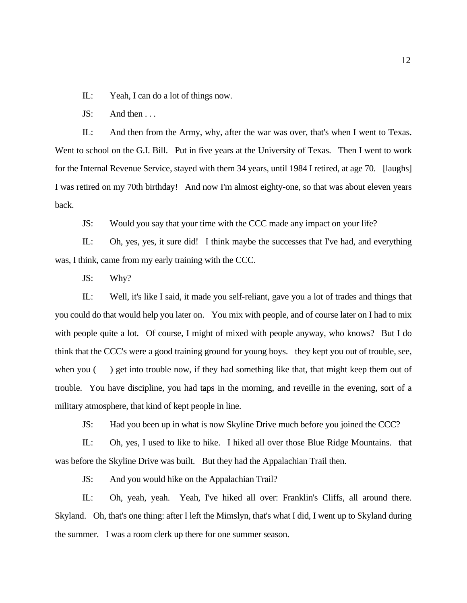IL: Yeah, I can do a lot of things now.

JS: And then . . .

IL: And then from the Army, why, after the war was over, that's when I went to Texas. Went to school on the G.I. Bill. Put in five years at the University of Texas. Then I went to work for the Internal Revenue Service, stayed with them 34 years, until 1984 I retired, at age 70. [laughs] I was retired on my 70th birthday! And now I'm almost eighty-one, so that was about eleven years back.

JS: Would you say that your time with the CCC made any impact on your life?

IL: Oh, yes, yes, it sure did! I think maybe the successes that I've had, and everything was, I think, came from my early training with the CCC.

JS: Why?

IL: Well, it's like I said, it made you self-reliant, gave you a lot of trades and things that you could do that would help you later on. You mix with people, and of course later on I had to mix with people quite a lot. Of course, I might of mixed with people anyway, who knows? But I do think that the CCC's were a good training ground for young boys. they kept you out of trouble, see, when you () get into trouble now, if they had something like that, that might keep them out of trouble. You have discipline, you had taps in the morning, and reveille in the evening, sort of a military atmosphere, that kind of kept people in line.

JS: Had you been up in what is now Skyline Drive much before you joined the CCC?

IL: Oh, yes, I used to like to hike. I hiked all over those Blue Ridge Mountains. that was before the Skyline Drive was built. But they had the Appalachian Trail then.

JS: And you would hike on the Appalachian Trail?

IL: Oh, yeah, yeah. Yeah, I've hiked all over: Franklin's Cliffs, all around there. Skyland. Oh, that's one thing: after I left the Mimslyn, that's what I did, I went up to Skyland during the summer. I was a room clerk up there for one summer season.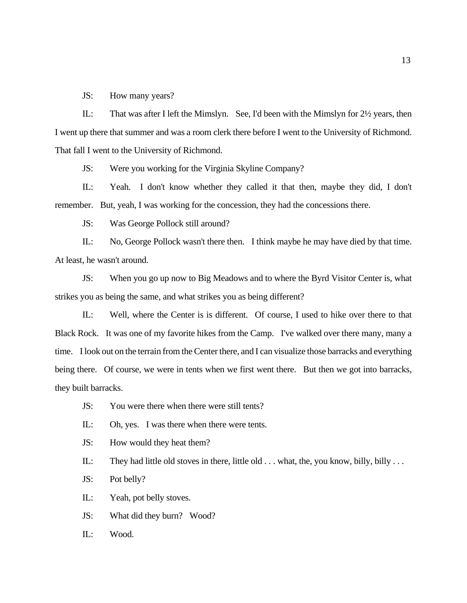JS: How many years?

IL: That was after I left the Mimslyn. See, I'd been with the Mimslyn for 2½ years, then I went up there that summer and was a room clerk there before I went to the University of Richmond. That fall I went to the University of Richmond.

JS: Were you working for the Virginia Skyline Company?

IL: Yeah. I don't know whether they called it that then, maybe they did, I don't remember. But, yeah, I was working for the concession, they had the concessions there.

JS: Was George Pollock still around?

IL: No, George Pollock wasn't there then. I think maybe he may have died by that time. At least, he wasn't around.

JS: When you go up now to Big Meadows and to where the Byrd Visitor Center is, what strikes you as being the same, and what strikes you as being different?

IL: Well, where the Center is is different. Of course, I used to hike over there to that Black Rock. It was one of my favorite hikes from the Camp. I've walked over there many, many a time. I look out on the terrain from the Center there, and I can visualize those barracks and everything being there. Of course, we were in tents when we first went there. But then we got into barracks, they built barracks.

JS: You were there when there were still tents?

IL: Oh, yes. I was there when there were tents.

JS: How would they heat them?

IL: They had little old stoves in there, little old . . . what, the, you know, billy, billy . . .

JS: Pot belly?

IL: Yeah, pot belly stoves.

JS: What did they burn? Wood?

IL: Wood.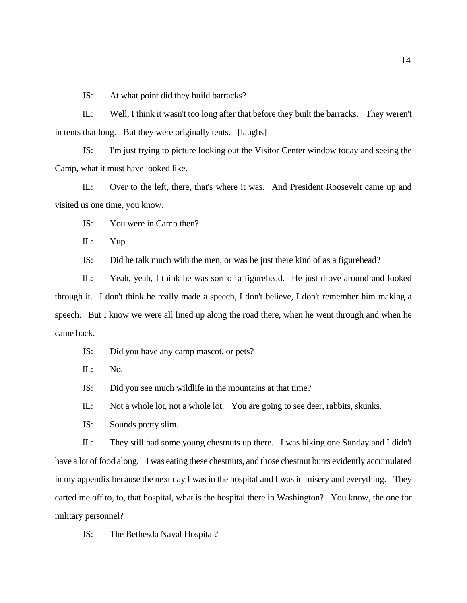JS: At what point did they build barracks?

IL: Well, I think it wasn't too long after that before they built the barracks. They weren't in tents that long. But they were originally tents. [laughs]

JS: I'm just trying to picture looking out the Visitor Center window today and seeing the Camp, what it must have looked like.

IL: Over to the left, there, that's where it was. And President Roosevelt came up and visited us one time, you know.

JS: You were in Camp then?

IL: Yup.

JS: Did he talk much with the men, or was he just there kind of as a figurehead?

IL: Yeah, yeah, I think he was sort of a figurehead. He just drove around and looked through it. I don't think he really made a speech, I don't believe, I don't remember him making a speech. But I know we were all lined up along the road there, when he went through and when he came back.

JS: Did you have any camp mascot, or pets?

IL: No.

JS: Did you see much wildlife in the mountains at that time?

IL: Not a whole lot, not a whole lot. You are going to see deer, rabbits, skunks.

JS: Sounds pretty slim.

 IL: They still had some young chestnuts up there. I was hiking one Sunday and I didn't have a lot of food along. I was eating these chestnuts, and those chestnut burrs evidently accumulated in my appendix because the next day I was in the hospital and I was in misery and everything. They carted me off to, to, that hospital, what is the hospital there in Washington? You know, the one for military personnel?

JS: The Bethesda Naval Hospital?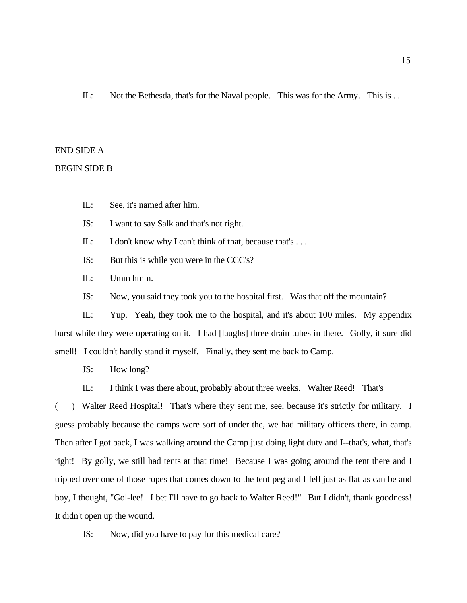IL: Not the Bethesda, that's for the Naval people. This was for the Army. This is . . .

### END SIDE A

### BEGIN SIDE B

IL: See, it's named after him.

JS: I want to say Salk and that's not right.

IL: I don't know why I can't think of that, because that's ...

JS: But this is while you were in the CCC's?

IL: Umm hmm.

JS: Now, you said they took you to the hospital first. Was that off the mountain?

IL: Yup. Yeah, they took me to the hospital, and it's about 100 miles. My appendix burst while they were operating on it. I had [laughs] three drain tubes in there. Golly, it sure did smell! I couldn't hardly stand it myself. Finally, they sent me back to Camp.

JS: How long?

IL: I think I was there about, probably about three weeks. Walter Reed! That's

( ) Walter Reed Hospital! That's where they sent me, see, because it's strictly for military. I guess probably because the camps were sort of under the, we had military officers there, in camp. Then after I got back, I was walking around the Camp just doing light duty and I--that's, what, that's right! By golly, we still had tents at that time! Because I was going around the tent there and I tripped over one of those ropes that comes down to the tent peg and I fell just as flat as can be and boy, I thought, "Gol-lee! I bet I'll have to go back to Walter Reed!" But I didn't, thank goodness! It didn't open up the wound.

JS: Now, did you have to pay for this medical care?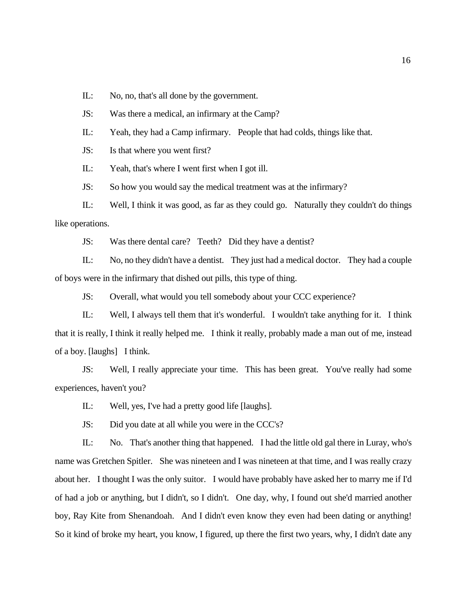IL: No, no, that's all done by the government.

JS: Was there a medical, an infirmary at the Camp?

IL: Yeah, they had a Camp infirmary. People that had colds, things like that.

JS: Is that where you went first?

IL: Yeah, that's where I went first when I got ill.

JS: So how you would say the medical treatment was at the infirmary?

IL: Well, I think it was good, as far as they could go. Naturally they couldn't do things like operations.

JS: Was there dental care? Teeth? Did they have a dentist?

IL: No, no they didn't have a dentist. They just had a medical doctor. They had a couple of boys were in the infirmary that dished out pills, this type of thing.

JS: Overall, what would you tell somebody about your CCC experience?

IL: Well, I always tell them that it's wonderful. I wouldn't take anything for it. I think that it is really, I think it really helped me. I think it really, probably made a man out of me, instead of a boy. [laughs] I think.

JS: Well, I really appreciate your time. This has been great. You've really had some experiences, haven't you?

IL: Well, yes, I've had a pretty good life [laughs].

JS: Did you date at all while you were in the CCC's?

IL: No. That's another thing that happened. I had the little old gal there in Luray, who's name was Gretchen Spitler. She was nineteen and I was nineteen at that time, and I was really crazy about her. I thought I was the only suitor. I would have probably have asked her to marry me if I'd of had a job or anything, but I didn't, so I didn't. One day, why, I found out she'd married another boy, Ray Kite from Shenandoah. And I didn't even know they even had been dating or anything! So it kind of broke my heart, you know, I figured, up there the first two years, why, I didn't date any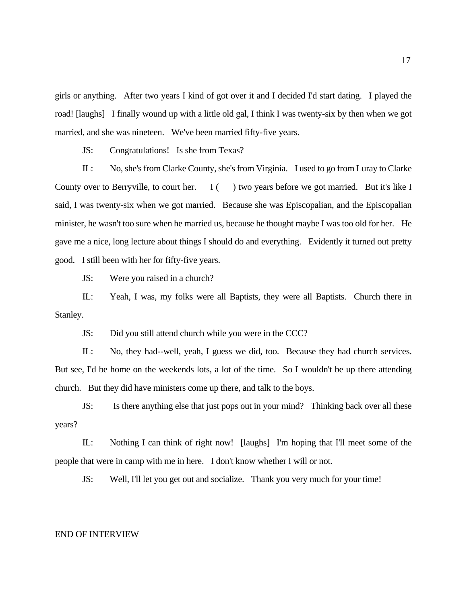girls or anything. After two years I kind of got over it and I decided I'd start dating. I played the road! [laughs] I finally wound up with a little old gal, I think I was twenty-six by then when we got married, and she was nineteen. We've been married fifty-five years.

JS: Congratulations! Is she from Texas?

IL: No, she's from Clarke County, she's from Virginia. I used to go from Luray to Clarke County over to Berryville, to court her. I () two years before we got married. But it's like I said, I was twenty-six when we got married. Because she was Episcopalian, and the Episcopalian minister, he wasn't too sure when he married us, because he thought maybe I was too old for her. He gave me a nice, long lecture about things I should do and everything. Evidently it turned out pretty good. I still been with her for fifty-five years.

JS: Were you raised in a church?

 IL: Yeah, I was, my folks were all Baptists, they were all Baptists. Church there in Stanley.

JS: Did you still attend church while you were in the CCC?

IL: No, they had--well, yeah, I guess we did, too. Because they had church services. But see, I'd be home on the weekends lots, a lot of the time. So I wouldn't be up there attending church. But they did have ministers come up there, and talk to the boys.

JS: Is there anything else that just pops out in your mind? Thinking back over all these years?

IL: Nothing I can think of right now! [laughs] I'm hoping that I'll meet some of the people that were in camp with me in here. I don't know whether I will or not.

JS: Well, I'll let you get out and socialize. Thank you very much for your time!

#### END OF INTERVIEW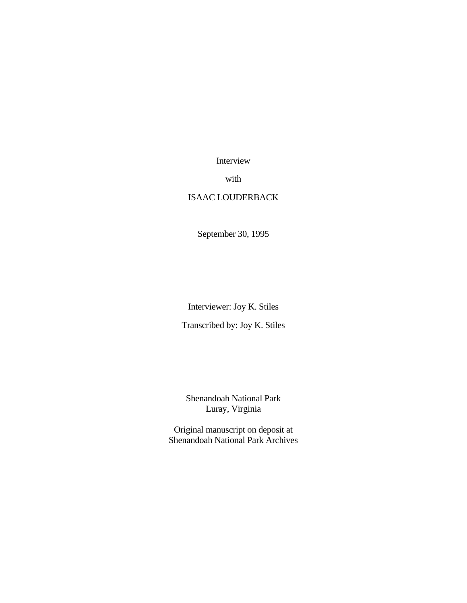Interview

with

## ISAAC LOUDERBACK

September 30, 1995

Interviewer: Joy K. Stiles

Transcribed by: Joy K. Stiles

Shenandoah National Park Luray, Virginia

Original manuscript on deposit at Shenandoah National Park Archives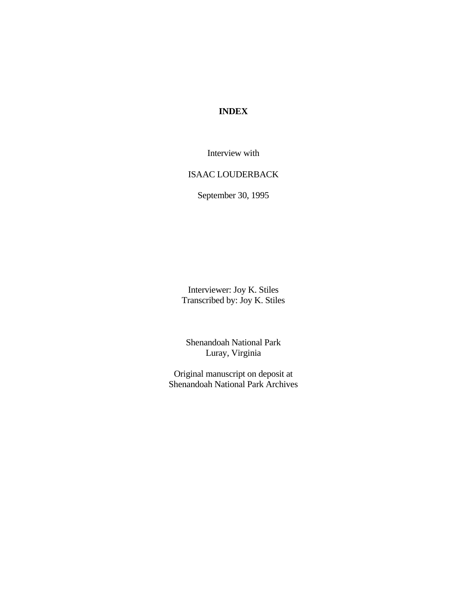# **INDEX**

Interview with

### ISAAC LOUDERBACK

September 30, 1995

Interviewer: Joy K. Stiles Transcribed by: Joy K. Stiles

Shenandoah National Park Luray, Virginia

Original manuscript on deposit at Shenandoah National Park Archives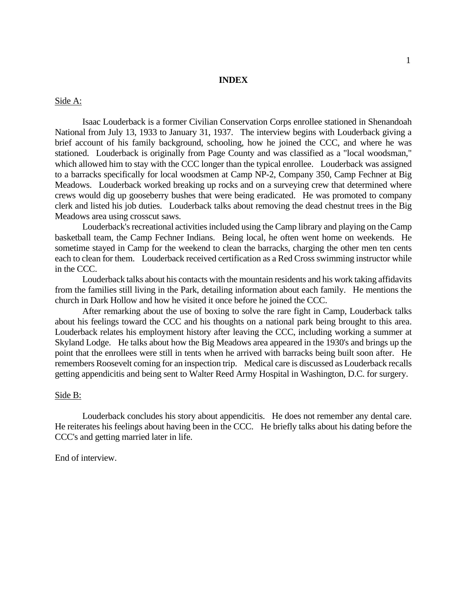### **INDEX**

### Side A:

Isaac Louderback is a former Civilian Conservation Corps enrollee stationed in Shenandoah National from July 13, 1933 to January 31, 1937. The interview begins with Louderback giving a brief account of his family background, schooling, how he joined the CCC, and where he was stationed. Louderback is originally from Page County and was classified as a "local woodsman," which allowed him to stay with the CCC longer than the typical enrollee. Louderback was assigned to a barracks specifically for local woodsmen at Camp NP-2, Company 350, Camp Fechner at Big Meadows. Louderback worked breaking up rocks and on a surveying crew that determined where crews would dig up gooseberry bushes that were being eradicated. He was promoted to company clerk and listed his job duties. Louderback talks about removing the dead chestnut trees in the Big Meadows area using crosscut saws.

Louderback's recreational activities included using the Camp library and playing on the Camp basketball team, the Camp Fechner Indians. Being local, he often went home on weekends. He sometime stayed in Camp for the weekend to clean the barracks, charging the other men ten cents each to clean for them. Louderback received certification as a Red Cross swimming instructor while in the CCC.

Louderback talks about his contacts with the mountain residents and his work taking affidavits from the families still living in the Park, detailing information about each family. He mentions the church in Dark Hollow and how he visited it once before he joined the CCC.

After remarking about the use of boxing to solve the rare fight in Camp, Louderback talks about his feelings toward the CCC and his thoughts on a national park being brought to this area. Louderback relates his employment history after leaving the CCC, including working a summer at Skyland Lodge. He talks about how the Big Meadows area appeared in the 1930's and brings up the point that the enrollees were still in tents when he arrived with barracks being built soon after. He remembers Roosevelt coming for an inspection trip. Medical care is discussed as Louderback recalls getting appendicitis and being sent to Walter Reed Army Hospital in Washington, D.C. for surgery.

### Side B:

Louderback concludes his story about appendicitis. He does not remember any dental care. He reiterates his feelings about having been in the CCC. He briefly talks about his dating before the CCC's and getting married later in life.

End of interview.